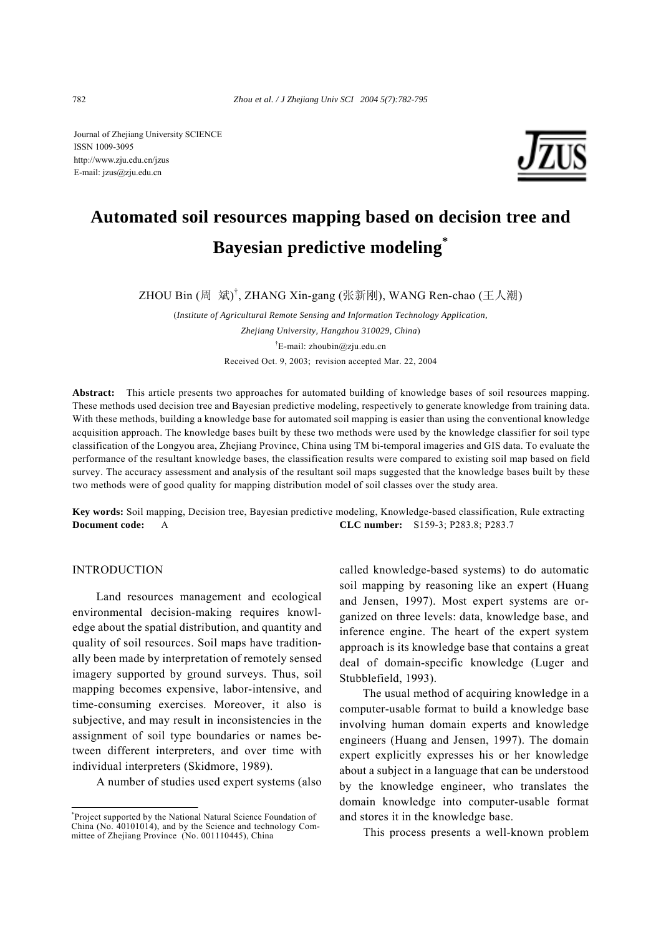Journal of Zhejiang University SCIENCE ISSN 1009-3095 http://www.zju.edu.cn/jzus E-mail: jzus@zju.edu.cn



# **Automated soil resources mapping based on decision tree and Bayesian predictive modeling\***

ZHOU Bin (周 斌)<sup>†</sup>, ZHANG Xin-gang (张新刚), WANG Ren-chao (王人潮)

(*Institute of Agricultural Remote Sensing and Information Technology Application, Zhejiang University, Hangzhou 310029, China*) <sup>†</sup>E-mail: zhoubin@zju.edu.cn Received Oct. 9, 2003; revision accepted Mar. 22, 2004

**Abstract:** This article presents two approaches for automated building of knowledge bases of soil resources mapping. These methods used decision tree and Bayesian predictive modeling, respectively to generate knowledge from training data. With these methods, building a knowledge base for automated soil mapping is easier than using the conventional knowledge acquisition approach. The knowledge bases built by these two methods were used by the knowledge classifier for soil type classification of the Longyou area, Zhejiang Province, China using TM bi-temporal imageries and GIS data. To evaluate the performance of the resultant knowledge bases, the classification results were compared to existing soil map based on field survey. The accuracy assessment and analysis of the resultant soil maps suggested that the knowledge bases built by these two methods were of good quality for mapping distribution model of soil classes over the study area.

**Key words:** Soil mapping, Decision tree, Bayesian predictive modeling, Knowledge-based classification, Rule extracting **Document code:** A **CLC number:** S159-3; P283.8; P283.7

## INTRODUCTION

Land resources management and ecological environmental decision-making requires knowledge about the spatial distribution, and quantity and quality of soil resources. Soil maps have traditionally been made by interpretation of remotely sensed imagery supported by ground surveys. Thus, soil mapping becomes expensive, labor-intensive, and time-consuming exercises. Moreover, it also is subjective, and may result in inconsistencies in the assignment of soil type boundaries or names between different interpreters, and over time with individual interpreters (Skidmore, 1989).

A number of studies used expert systems (also

called knowledge-based systems) to do automatic soil mapping by reasoning like an expert (Huang and Jensen, 1997). Most expert systems are organized on three levels: data, knowledge base, and inference engine. The heart of the expert system approach is its knowledge base that contains a great deal of domain-specific knowledge (Luger and Stubblefield, 1993).

The usual method of acquiring knowledge in a computer-usable format to build a knowledge base involving human domain experts and knowledge engineers (Huang and Jensen, 1997). The domain expert explicitly expresses his or her knowledge about a subject in a language that can be understood by the knowledge engineer, who translates the domain knowledge into computer-usable format and stores it in the knowledge base.

This process presents a well-known problem

<sup>\*</sup> Project supported by the National Natural Science Foundation of China (No. 40101014), and by the Science and technology Committee of Zhejiang Province (No. 001110445), China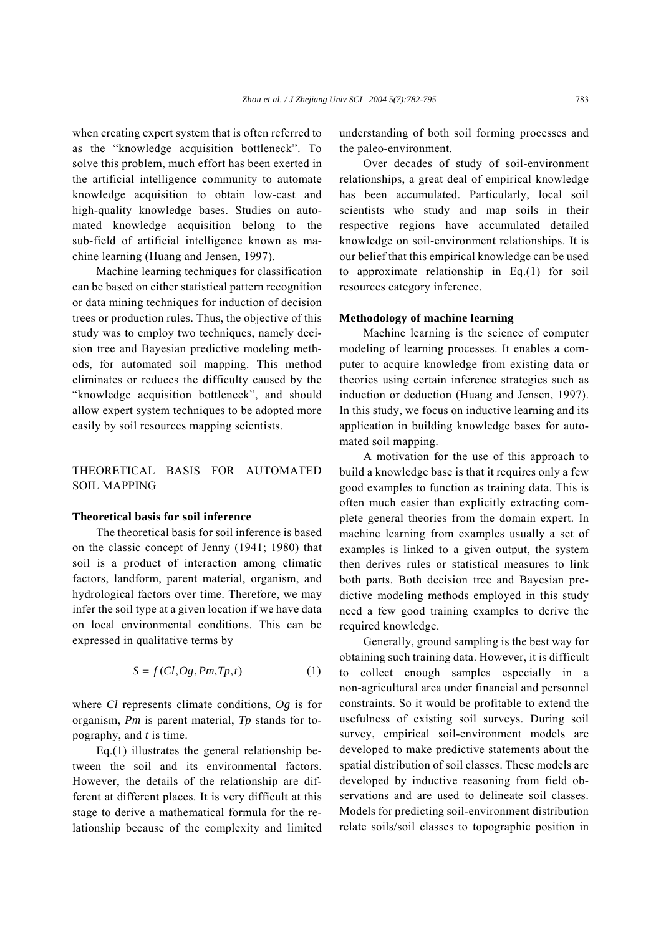when creating expert system that is often referred to as the "knowledge acquisition bottleneck". To solve this problem, much effort has been exerted in the artificial intelligence community to automate knowledge acquisition to obtain low-cast and high-quality knowledge bases. Studies on automated knowledge acquisition belong to the sub-field of artificial intelligence known as machine learning (Huang and Jensen, 1997).

Machine learning techniques for classification can be based on either statistical pattern recognition or data mining techniques for induction of decision trees or production rules. Thus, the objective of this study was to employ two techniques, namely decision tree and Bayesian predictive modeling methods, for automated soil mapping. This method eliminates or reduces the difficulty caused by the "knowledge acquisition bottleneck", and should allow expert system techniques to be adopted more easily by soil resources mapping scientists.

# THEORETICAL BASIS FOR AUTOMATED SOIL MAPPING

## **Theoretical basis for soil inference**

The theoretical basis for soil inference is based on the classic concept of Jenny (1941; 1980) that soil is a product of interaction among climatic factors, landform, parent material, organism, and hydrological factors over time. Therefore, we may infer the soil type at a given location if we have data on local environmental conditions. This can be expressed in qualitative terms by

$$
S = f(Cl, Og, Pm, Tp, t)
$$
 (1)

where *Cl* represents climate conditions, *Og* is for organism, *Pm* is parent material, *Tp* stands for topography, and *t* is time.

Eq.(1) illustrates the general relationship between the soil and its environmental factors. However, the details of the relationship are different at different places. It is very difficult at this stage to derive a mathematical formula for the relationship because of the complexity and limited understanding of both soil forming processes and the paleo-environment.

Over decades of study of soil-environment relationships, a great deal of empirical knowledge has been accumulated. Particularly, local soil scientists who study and map soils in their respective regions have accumulated detailed knowledge on soil-environment relationships. It is our belief that this empirical knowledge can be used to approximate relationship in Eq.(1) for soil resources category inference.

## **Methodology of machine learning**

Machine learning is the science of computer modeling of learning processes. It enables a computer to acquire knowledge from existing data or theories using certain inference strategies such as induction or deduction (Huang and Jensen, 1997). In this study, we focus on inductive learning and its application in building knowledge bases for automated soil mapping.

A motivation for the use of this approach to build a knowledge base is that it requires only a few good examples to function as training data. This is often much easier than explicitly extracting complete general theories from the domain expert. In machine learning from examples usually a set of examples is linked to a given output, the system then derives rules or statistical measures to link both parts. Both decision tree and Bayesian predictive modeling methods employed in this study need a few good training examples to derive the required knowledge.

Generally, ground sampling is the best way for obtaining such training data. However, it is difficult to collect enough samples especially in a non-agricultural area under financial and personnel constraints. So it would be profitable to extend the usefulness of existing soil surveys. During soil survey, empirical soil-environment models are developed to make predictive statements about the spatial distribution of soil classes. These models are developed by inductive reasoning from field observations and are used to delineate soil classes. Models for predicting soil-environment distribution relate soils/soil classes to topographic position in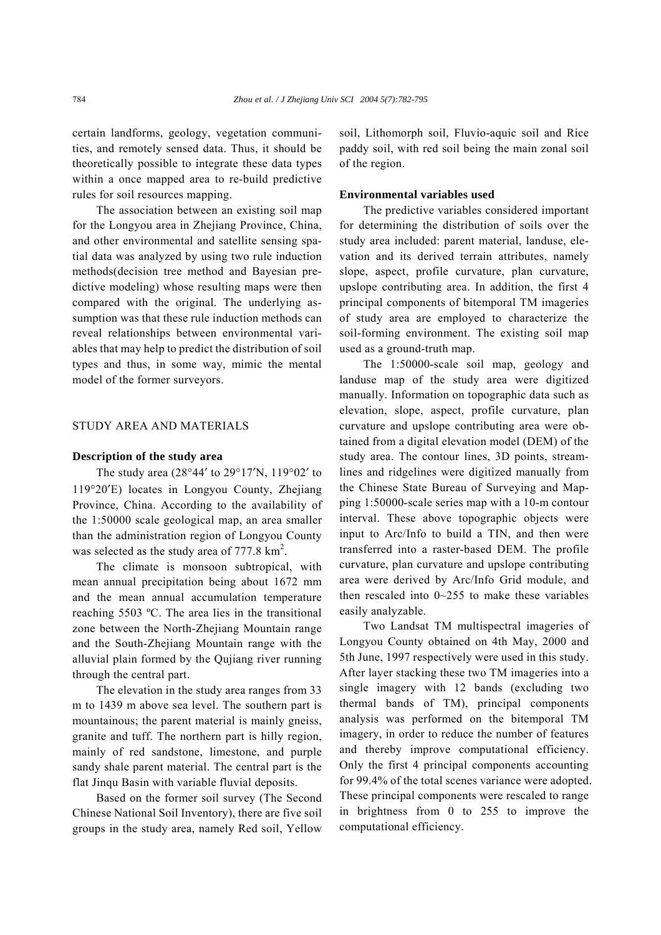certain landforms, geology, vegetation communities, and remotely sensed data. Thus, it should be theoretically possible to integrate these data types within a once mapped area to re-build predictive rules for soil resources mapping.

The association between an existing soil map for the Longyou area in Zhejiang Province, China, and other environmental and satellite sensing spatial data was analyzed by using two rule induction methods(decision tree method and Bayesian predictive modeling) whose resulting maps were then compared with the original. The underlying assumption was that these rule induction methods can reveal relationships between environmental variables that may help to predict the distribution of soil types and thus, in some way, mimic the mental model of the former surveyors.

## STUDY AREA AND MATERIALS

### **Description of the study area**

The study area (28°44′ to 29°17′N, 119°02′ to 119°20′E) locates in Longyou County, Zhejiang Province, China. According to the availability of the 1:50000 scale geological map, an area smaller than the administration region of Longyou County was selected as the study area of  $777.8 \text{ km}^2$ .

The climate is monsoon subtropical, with mean annual precipitation being about 1672 mm and the mean annual accumulation temperature reaching 5503 ºC. The area lies in the transitional zone between the North-Zhejiang Mountain range and the South-Zhejiang Mountain range with the alluvial plain formed by the Qujiang river running through the central part.

The elevation in the study area ranges from 33 m to 1439 m above sea level. The southern part is mountainous; the parent material is mainly gneiss, granite and tuff. The northern part is hilly region, mainly of red sandstone, limestone, and purple sandy shale parent material. The central part is the flat Jinqu Basin with variable fluvial deposits.

Based on the former soil survey (The Second Chinese National Soil Inventory), there are five soil groups in the study area, namely Red soil, Yellow

soil, Lithomorph soil, Fluvio-aquic soil and Rice paddy soil, with red soil being the main zonal soil of the region.

## **Environmental variables used**

The predictive variables considered important for determining the distribution of soils over the study area included: parent material, landuse, elevation and its derived terrain attributes, namely slope, aspect, profile curvature, plan curvature, upslope contributing area. In addition, the first 4 principal components of bitemporal TM imageries of study area are employed to characterize the soil-forming environment. The existing soil map used as a ground-truth map.

The 1:50000-scale soil map, geology and landuse map of the study area were digitized manually. Information on topographic data such as elevation, slope, aspect, profile curvature, plan curvature and upslope contributing area were obtained from a digital elevation model (DEM) of the study area. The contour lines, 3D points, streamlines and ridgelines were digitized manually from the Chinese State Bureau of Surveying and Mapping 1:50000-scale series map with a 10-m contour interval. These above topographic objects were input to Arc/Info to build a TIN, and then were transferred into a raster-based DEM. The profile curvature, plan curvature and upslope contributing area were derived by Arc/Info Grid module, and then rescaled into 0~255 to make these variables easily analyzable.

Two Landsat TM multispectral imageries of Longyou County obtained on 4th May, 2000 and 5th June, 1997 respectively were used in this study. After layer stacking these two TM imageries into a single imagery with 12 bands (excluding two thermal bands of TM), principal components analysis was performed on the bitemporal TM imagery, in order to reduce the number of features and thereby improve computational efficiency. Only the first 4 principal components accounting for 99.4% of the total scenes variance were adopted. These principal components were rescaled to range in brightness from 0 to 255 to improve the computational efficiency.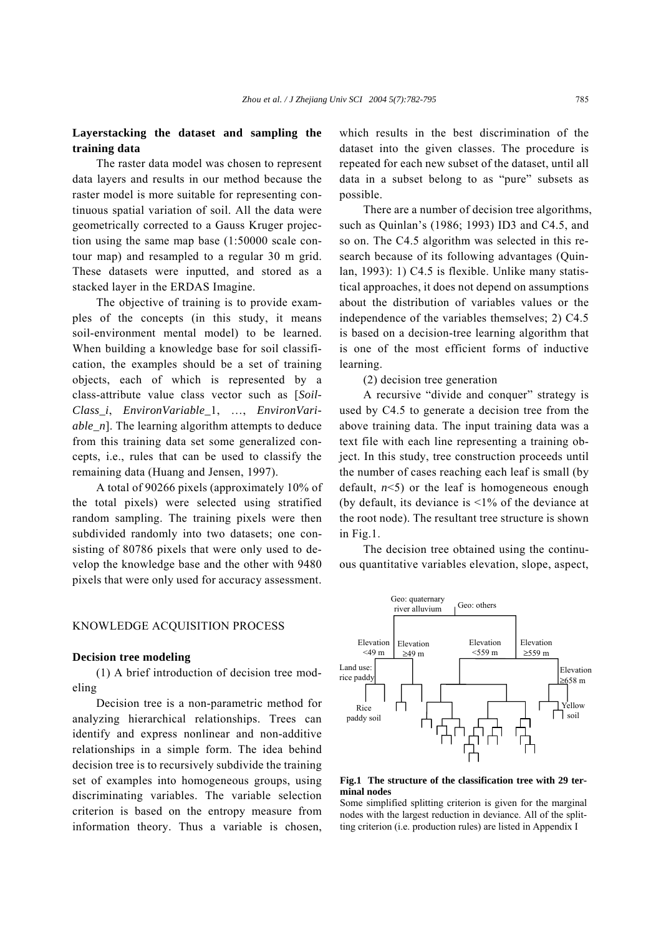# **Layerstacking the dataset and sampling the training data**

The raster data model was chosen to represent data layers and results in our method because the raster model is more suitable for representing continuous spatial variation of soil. All the data were geometrically corrected to a Gauss Kruger projection using the same map base (1:50000 scale contour map) and resampled to a regular 30 m grid. These datasets were inputted, and stored as a stacked layer in the ERDAS Imagine.

The objective of training is to provide examples of the concepts (in this study, it means soil-environment mental model) to be learned. When building a knowledge base for soil classification, the examples should be a set of training objects, each of which is represented by a class-attribute value class vector such as [*Soil-Class i, EnvironVariable 1, ..., EnvironVariable\_n*]. The learning algorithm attempts to deduce from this training data set some generalized concepts, i.e., rules that can be used to classify the remaining data (Huang and Jensen, 1997).

A total of 90266 pixels (approximately 10% of the total pixels) were selected using stratified random sampling. The training pixels were then subdivided randomly into two datasets; one consisting of 80786 pixels that were only used to develop the knowledge base and the other with 9480 pixels that were only used for accuracy assessment.

#### KNOWLEDGE ACQUISITION PROCESS

#### **Decision tree modeling**

(1) A brief introduction of decision tree modeling

Decision tree is a non-parametric method for analyzing hierarchical relationships. Trees can identify and express nonlinear and non-additive relationships in a simple form. The idea behind decision tree is to recursively subdivide the training set of examples into homogeneous groups, using discriminating variables. The variable selection criterion is based on the entropy measure from information theory. Thus a variable is chosen, which results in the best discrimination of the dataset into the given classes. The procedure is repeated for each new subset of the dataset, until all data in a subset belong to as "pure" subsets as possible.

There are a number of decision tree algorithms, such as Quinlan's (1986; 1993) ID3 and C4.5, and so on. The C4.5 algorithm was selected in this research because of its following advantages (Quinlan, 1993): 1) C4.5 is flexible. Unlike many statistical approaches, it does not depend on assumptions about the distribution of variables values or the independence of the variables themselves; 2) C4.5 is based on a decision-tree learning algorithm that is one of the most efficient forms of inductive learning.

#### (2) decision tree generation

A recursive "divide and conquer" strategy is used by C4.5 to generate a decision tree from the above training data. The input training data was a text file with each line representing a training object. In this study, tree construction proceeds until the number of cases reaching each leaf is small (by default,  $n \leq 5$ ) or the leaf is homogeneous enough (by default, its deviance is <1% of the deviance at the root node). The resultant tree structure is shown in Fig.1.

The decision tree obtained using the continuous quantitative variables elevation, slope, aspect,



#### **Fig.1 The structure of the classification tree with 29 terminal nodes**

Some simplified splitting criterion is given for the marginal nodes with the largest reduction in deviance. All of the splitting criterion (i.e. production rules) are listed in Appendix I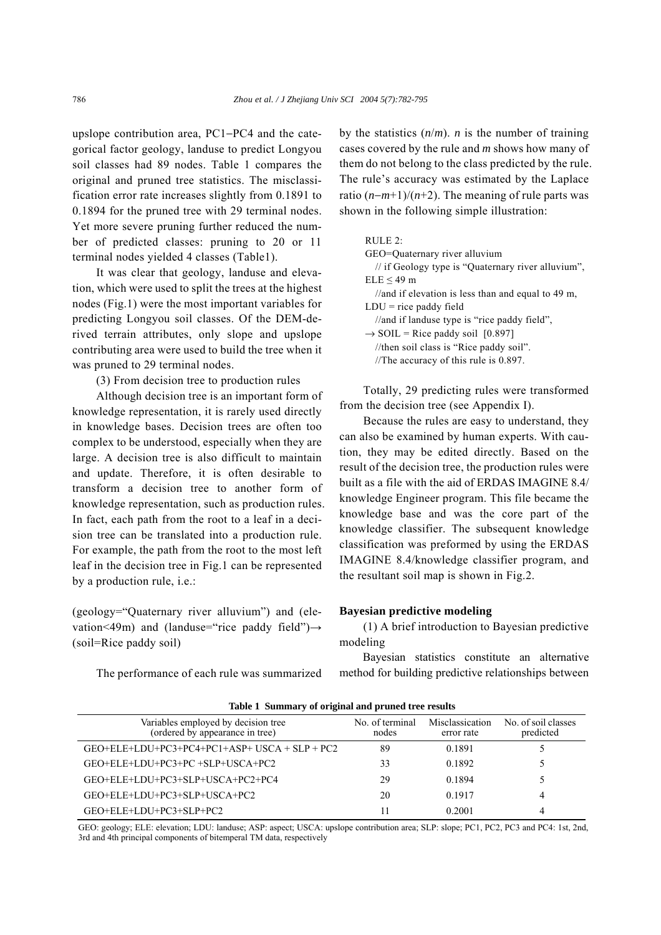upslope contribution area, PC1−PC4 and the categorical factor geology, landuse to predict Longyou soil classes had 89 nodes. Table 1 compares the original and pruned tree statistics. The misclassification error rate increases slightly from 0.1891 to 0.1894 for the pruned tree with 29 terminal nodes. Yet more severe pruning further reduced the number of predicted classes: pruning to 20 or 11 terminal nodes yielded 4 classes (Table1).

It was clear that geology, landuse and elevation, which were used to split the trees at the highest nodes (Fig.1) were the most important variables for predicting Longyou soil classes. Of the DEM-derived terrain attributes, only slope and upslope contributing area were used to build the tree when it was pruned to 29 terminal nodes.

(3) From decision tree to production rules

Although decision tree is an important form of knowledge representation, it is rarely used directly in knowledge bases. Decision trees are often too complex to be understood, especially when they are large. A decision tree is also difficult to maintain and update. Therefore, it is often desirable to transform a decision tree to another form of knowledge representation, such as production rules. In fact, each path from the root to a leaf in a decision tree can be translated into a production rule. For example, the path from the root to the most left leaf in the decision tree in Fig.1 can be represented by a production rule, i.e.:

(geology="Quaternary river alluvium") and (elevation<49m) and (landuse="rice paddy field") $\rightarrow$ (soil=Rice paddy soil)

The performance of each rule was summarized

by the statistics  $(n/m)$ . *n* is the number of training cases covered by the rule and *m* shows how many of them do not belong to the class predicted by the rule. The rule's accuracy was estimated by the Laplace ratio (*n*−*m*+1)/(*n*+2). The meaning of rule parts was shown in the following simple illustration:

| RUTE 2:                                            |
|----------------------------------------------------|
| GEO=Ouaternary river alluvium                      |
| // if Geology type is "Quaternary river alluvium", |
| $ELE < 49$ m                                       |
| //and if elevation is less than and equal to 49 m, |
| $LDU = rice$ paddy field                           |
| //and if landuse type is "rice paddy field",       |
| $\rightarrow$ SOIL = Rice paddy soil [0.897]       |
| //then soil class is "Rice paddy soil".            |
| //The accuracy of this rule is $0.897$ .           |
|                                                    |

Totally, 29 predicting rules were transformed from the decision tree (see Appendix I).

Because the rules are easy to understand, they can also be examined by human experts. With caution, they may be edited directly. Based on the result of the decision tree, the production rules were built as a file with the aid of ERDAS IMAGINE 8.4/ knowledge Engineer program. This file became the knowledge base and was the core part of the knowledge classifier. The subsequent knowledge classification was preformed by using the ERDAS IMAGINE 8.4/knowledge classifier program, and the resultant soil map is shown in Fig.2.

#### **Bayesian predictive modeling**

(1) A brief introduction to Bayesian predictive modeling

Bayesian statistics constitute an alternative method for building predictive relationships between

| Table 1 Summary of original and pruned tree results                    |                          |                               |                                  |  |  |  |  |
|------------------------------------------------------------------------|--------------------------|-------------------------------|----------------------------------|--|--|--|--|
| Variables employed by decision tree<br>(ordered by appearance in tree) | No. of terminal<br>nodes | Misclassication<br>error rate | No. of soil classes<br>predicted |  |  |  |  |
| $GEO + ELE + LDU + PC3 + PC4 + PC1 + ASP + USCA + SLP + PC2$           | 89                       | 0.1891                        |                                  |  |  |  |  |
| GEO+ELE+LDU+PC3+PC +SLP+USCA+PC2                                       | 33                       | 0.1892                        |                                  |  |  |  |  |
| GEO+ELE+LDU+PC3+SLP+USCA+PC2+PC4                                       | 29                       | 0.1894                        |                                  |  |  |  |  |
| GEO+ELE+LDU+PC3+SLP+USCA+PC2                                           | 20                       | 0.1917                        | 4                                |  |  |  |  |
| GEO+ELE+LDU+PC3+SLP+PC2                                                |                          | 0.2001                        | 4                                |  |  |  |  |

**Table 1 Summary of original and pruned tree results**

GEO: geology; ELE: elevation; LDU: landuse; ASP: aspect; USCA: upslope contribution area; SLP: slope; PC1, PC2, PC3 and PC4: 1st, 2nd, 3rd and 4th principal components of bitemperal TM data, respectively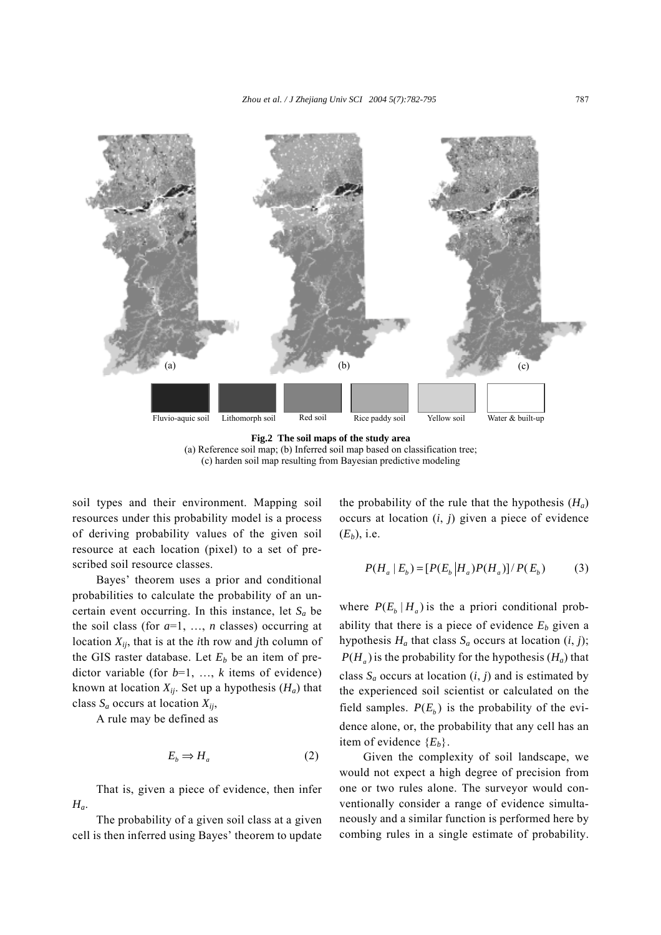

**Fig.2 The soil maps of the study area**  (a) Reference soil map; (b) Inferred soil map based on classification tree; (c) harden soil map resulting from Bayesian predictive modeling

soil types and their environment. Mapping soil resources under this probability model is a process of deriving probability values of the given soil resource at each location (pixel) to a set of prescribed soil resource classes.

Bayes' theorem uses a prior and conditional probabilities to calculate the probability of an uncertain event occurring. In this instance, let  $S_a$  be the soil class (for  $a=1, \ldots, n$  classes) occurring at location *Xij*, that is at the *i*th row and *j*th column of the GIS raster database. Let  $E_b$  be an item of predictor variable (for  $b=1, \ldots, k$  items of evidence) known at location  $X_{ij}$ . Set up a hypothesis  $(H_a)$  that class  $S_a$  occurs at location  $X_{ij}$ ,

A rule may be defined as

$$
E_b \Rightarrow H_a \tag{2}
$$

That is, given a piece of evidence, then infer *Ha*.

The probability of a given soil class at a given cell is then inferred using Bayes' theorem to update the probability of the rule that the hypothesis  $(H_a)$ occurs at location (*i*, *j*) given a piece of evidence  $(E_b)$ , i.e.

$$
P(H_a | E_b) = [P(E_b | H_a)P(H_a)]/P(E_b)
$$
 (3)

where  $P(E_h | H_a)$  is the a priori conditional probability that there is a piece of evidence  $E_b$  given a hypothesis  $H_a$  that class  $S_a$  occurs at location  $(i, j)$ ;  $P(H_a)$  is the probability for the hypothesis ( $H_a$ ) that class  $S_a$  occurs at location  $(i, j)$  and is estimated by the experienced soil scientist or calculated on the field samples.  $P(E_b)$  is the probability of the evidence alone, or, the probability that any cell has an item of evidence {*Eb*}.

Given the complexity of soil landscape, we would not expect a high degree of precision from one or two rules alone. The surveyor would conventionally consider a range of evidence simultaneously and a similar function is performed here by combing rules in a single estimate of probability.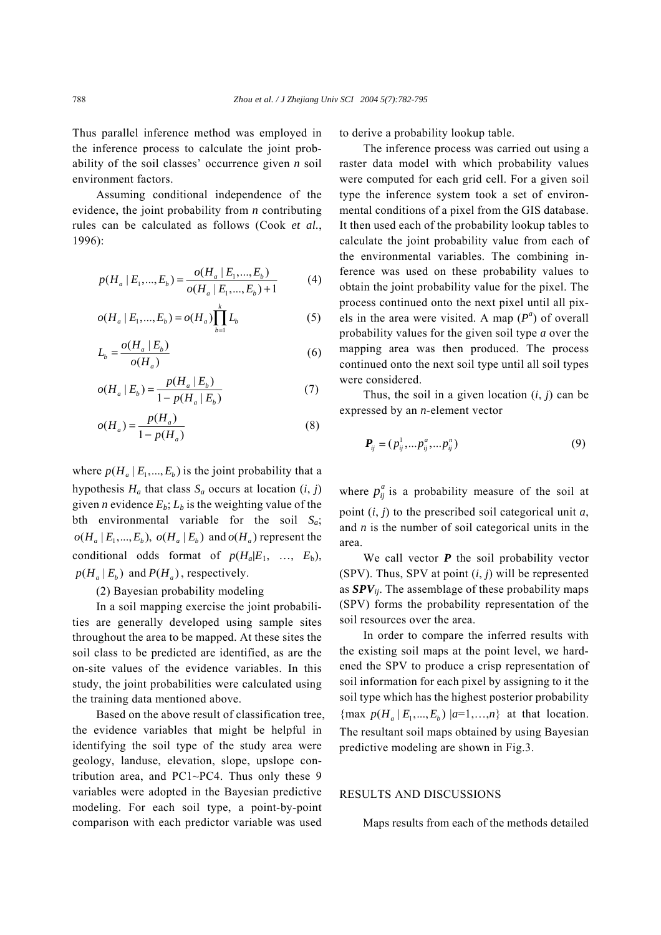Thus parallel inference method was employed in the inference process to calculate the joint probability of the soil classes' occurrence given  $n$  soil environment factors.

Assuming conditional independence of the evidence, the joint probability from *n* contributing rules can be calculated as follows (Cook *et al.*, 1996):

$$
p(H_a \mid E_1, \dots, E_b) = \frac{o(H_a \mid E_1, \dots, E_b)}{o(H_a \mid E_1, \dots, E_b) + 1}
$$
(4)

$$
o(H_a \mid E_1, ..., E_b) = o(H_a) \prod_{b=1}^k L_b
$$
 (5)

$$
L_b = \frac{o(H_a \mid E_b)}{o(H_a)}
$$
(6)

$$
o(H_a \mid E_b) = \frac{p(H_a \mid E_b)}{1 - p(H_a \mid E_b)}
$$
(7)

$$
o(H_a) = \frac{p(H_a)}{1 - p(H_a)}
$$
(8)

where  $p(H_a | E_1, ..., E_b)$  is the joint probability that a hypothesis  $H_a$  that class  $S_a$  occurs at location  $(i, j)$ given *n* evidence  $E_b$ ;  $L_b$  is the weighting value of the bth environmental variable for the soil *Sa*;  $o(H_a | E_1, ..., E_b)$ ,  $o(H_a | E_b)$  and  $o(H_a)$  represent the conditional odds format of  $p(H_a|E_1, \ldots, E_b)$ ,  $p(H_a | E_b)$  and  $P(H_a)$ , respectively.

(2) Bayesian probability modeling

In a soil mapping exercise the joint probabilities are generally developed using sample sites throughout the area to be mapped. At these sites the soil class to be predicted are identified, as are the on-site values of the evidence variables. In this study, the joint probabilities were calculated using the training data mentioned above.

Based on the above result of classification tree, the evidence variables that might be helpful in identifying the soil type of the study area were geology, landuse, elevation, slope, upslope contribution area, and PC1~PC4. Thus only these 9 variables were adopted in the Bayesian predictive modeling. For each soil type, a point-by-point comparison with each predictor variable was used

to derive a probability lookup table.

The inference process was carried out using a raster data model with which probability values were computed for each grid cell. For a given soil type the inference system took a set of environmental conditions of a pixel from the GIS database. It then used each of the probability lookup tables to calculate the joint probability value from each of the environmental variables. The combining inference was used on these probability values to obtain the joint probability value for the pixel. The process continued onto the next pixel until all pixels in the area were visited. A map  $(P^a)$  of overall probability values for the given soil type *a* over the mapping area was then produced. The process continued onto the next soil type until all soil types were considered.

Thus, the soil in a given location  $(i, j)$  can be expressed by an *n*-element vector

$$
\boldsymbol{P}_{ij} = (p_{ij}^1, \dots p_{ij}^a, \dots p_{ij}^n) \tag{9}
$$

where  $p_{ij}^a$  is a probability measure of the soil at point (*i*, *j*) to the prescribed soil categorical unit *a*, and *n* is the number of soil categorical units in the area.

We call vector **P** the soil probability vector (SPV). Thus, SPV at point  $(i, j)$  will be represented as *SPVij*. The assemblage of these probability maps (SPV) forms the probability representation of the soil resources over the area.

In order to compare the inferred results with the existing soil maps at the point level, we hardened the SPV to produce a crisp representation of soil information for each pixel by assigning to it the soil type which has the highest posterior probability  $\{ \max p(H_a | E_1,..., E_n) | a=1,...,n \}$  at that location. The resultant soil maps obtained by using Bayesian predictive modeling are shown in Fig.3.

### RESULTS AND DISCUSSIONS

Maps results from each of the methods detailed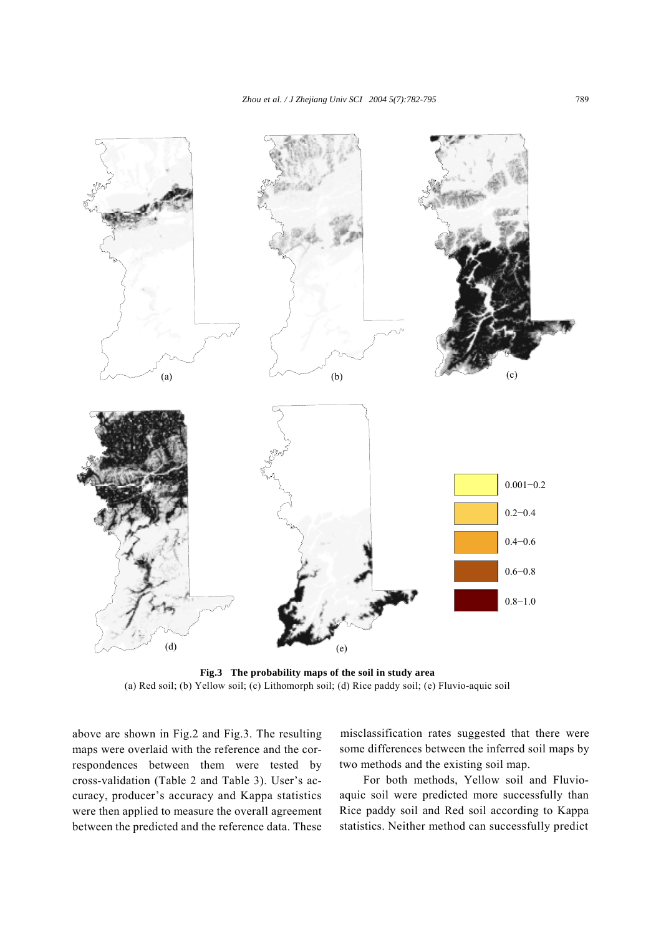

**Fig.3 The probability maps of the soil in study area**  (a) Red soil; (b) Yellow soil; (c) Lithomorph soil; (d) Rice paddy soil; (e) Fluvio-aquic soil

above are shown in Fig.2 and Fig.3. The resulting maps were overlaid with the reference and the correspondences between them were tested by cross-validation (Table 2 and Table 3). User's accuracy, producer's accuracy and Kappa statistics were then applied to measure the overall agreement between the predicted and the reference data. These misclassification rates suggested that there were some differences between the inferred soil maps by two methods and the existing soil map.

For both methods, Yellow soil and Fluvioaquic soil were predicted more successfully than Rice paddy soil and Red soil according to Kappa statistics. Neither method can successfully predict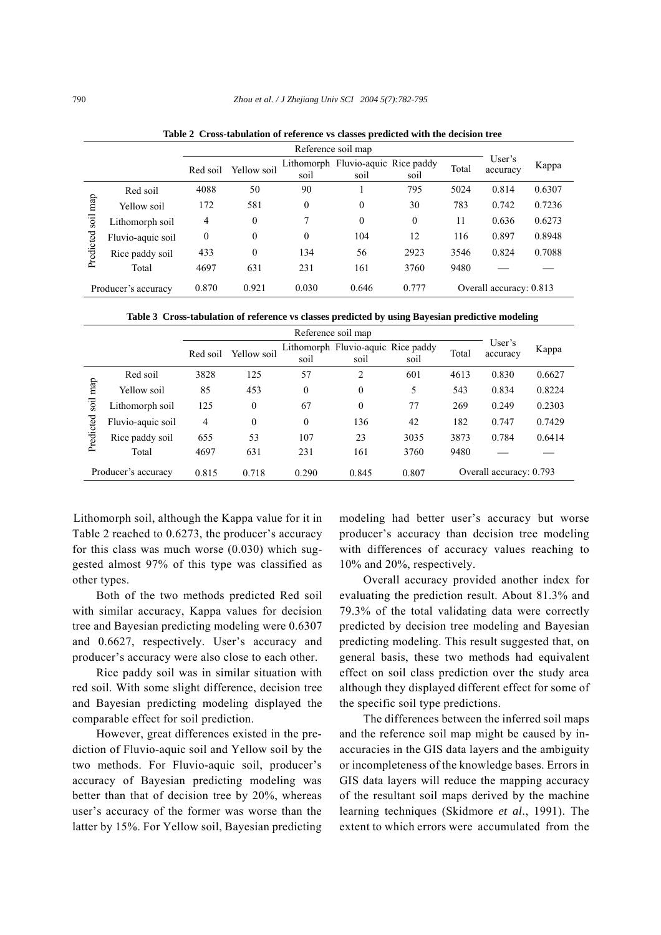|             |                     | Reference soil map |             |          |                                            |                  |       |                         |        |
|-------------|---------------------|--------------------|-------------|----------|--------------------------------------------|------------------|-------|-------------------------|--------|
|             |                     | Red soil           | Yellow soil | soil     | Lithomorph Fluvio-aquic Rice paddy<br>soil | soil             | Total | User's<br>accuracy      | Kappa  |
|             | Red soil            | 4088               | 50          | 90       |                                            | 795              | 5024  | 0.814                   | 0.6307 |
| map<br>soil | Yellow soil         | 172                | 581         | $\theta$ | $\boldsymbol{0}$                           | 30               | 783   | 0.742                   | 0.7236 |
|             | Lithomorph soil     | 4                  | 0           | 7        | $\mathbf{0}$                               | $\boldsymbol{0}$ | 11    | 0.636                   | 0.6273 |
|             | Fluvio-aquic soil   | $\theta$           | $\theta$    | $\theta$ | 104                                        | 12               | 116   | 0.897                   | 0.8948 |
| Predicted   | Rice paddy soil     | 433                | 0           | 134      | 56                                         | 2923             | 3546  | 0.824                   | 0.7088 |
|             | Total               | 4697               | 631         | 231      | 161                                        | 3760             | 9480  |                         |        |
|             | Producer's accuracy | 0.870              | 0.921       | 0.030    | 0.646                                      | 0.777            |       | Overall accuracy: 0.813 |        |

**Table 2 Cross-tabulation of reference vs classes predicted with the decision tree** 

**Table 3 Cross-tabulation of reference vs classes predicted by using Bayesian predictive modeling** 

|             |                     | Reference soil map |             |              |                                            |       |       |                         |        |
|-------------|---------------------|--------------------|-------------|--------------|--------------------------------------------|-------|-------|-------------------------|--------|
|             |                     | Red soil           | Yellow soil | soil         | Lithomorph Fluvio-aquic Rice paddy<br>soil | soil  | Total | User's<br>accuracy      | Kappa  |
|             | Red soil            | 3828               | 125         | 57           | $\overline{2}$                             | 601   | 4613  | 0.830                   | 0.6627 |
| map<br>soil | Yellow soil         | 85                 | 453         | $\theta$     | $\mathbf{0}$                               | 5     | 543   | 0.834                   | 0.8224 |
|             | Lithomorph soil     | 125                | $\theta$    | 67           | $\mathbf{0}$                               | 77    | 269   | 0.249                   | 0.2303 |
|             | Fluvio-aquic soil   | 4                  | $\theta$    | $\mathbf{0}$ | 136                                        | 42    | 182   | 0.747                   | 0.7429 |
| Predicted   | Rice paddy soil     | 655                | 53          | 107          | 23                                         | 3035  | 3873  | 0.784                   | 0.6414 |
|             | Total               | 4697               | 631         | 231          | 161                                        | 3760  | 9480  |                         |        |
|             | Producer's accuracy | 0.815              | 0.718       | 0.290        | 0.845                                      | 0.807 |       | Overall accuracy: 0.793 |        |

Lithomorph soil, although the Kappa value for it in Table 2 reached to  $0.6273$ , the producer's accuracy for this class was much worse (0.030) which suggested almost 97% of this type was classified as other types.

Both of the two methods predicted Red soil with similar accuracy, Kappa values for decision tree and Bayesian predicting modeling were 0.6307 and 0.6627, respectively. User's accuracy and producer's accuracy were also close to each other.

Rice paddy soil was in similar situation with red soil. With some slight difference, decision tree and Bayesian predicting modeling displayed the comparable effect for soil prediction.

However, great differences existed in the prediction of Fluvio-aquic soil and Yellow soil by the two methods. For Fluvio-aquic soil, producer's accuracy of Bayesian predicting modeling was better than that of decision tree by 20%, whereas user's accuracy of the former was worse than the latter by 15%. For Yellow soil, Bayesian predicting

modeling had better user's accuracy but worse producer's accuracy than decision tree modeling with differences of accuracy values reaching to 10% and 20%, respectively.

Overall accuracy provided another index for evaluating the prediction result. About 81.3% and 79.3% of the total validating data were correctly predicted by decision tree modeling and Bayesian predicting modeling. This result suggested that, on general basis, these two methods had equivalent effect on soil class prediction over the study area although they displayed different effect for some of the specific soil type predictions.

The differences between the inferred soil maps and the reference soil map might be caused by inaccuracies in the GIS data layers and the ambiguity or incompleteness of the knowledge bases. Errors in GIS data layers will reduce the mapping accuracy of the resultant soil maps derived by the machine learning techniques (Skidmore *et al*., 1991). The extent to which errors were accumulated from the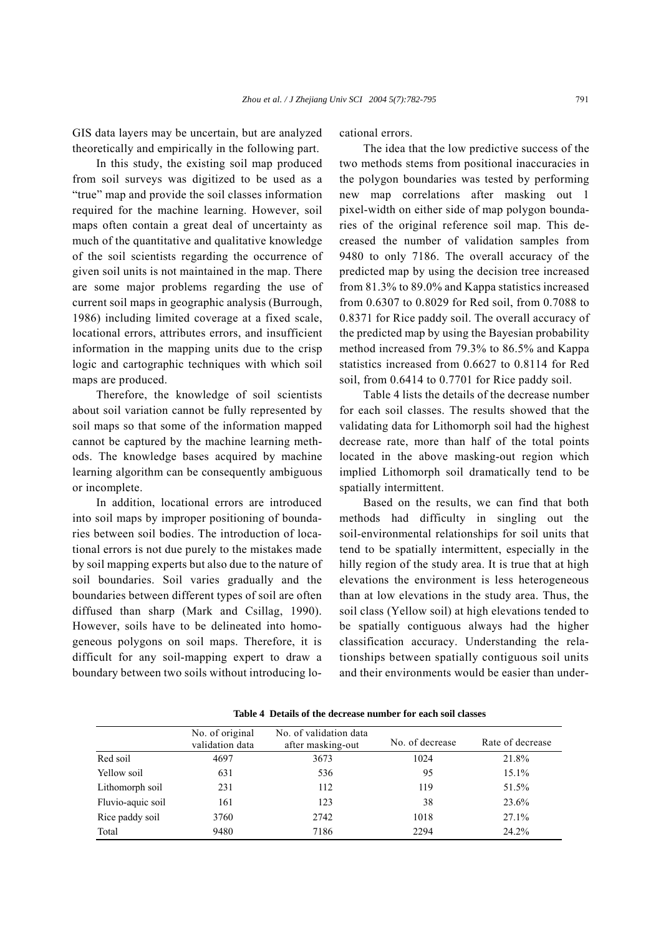GIS data layers may be uncertain, but are analyzed theoretically and empirically in the following part.

In this study, the existing soil map produced from soil surveys was digitized to be used as a "true" map and provide the soil classes information required for the machine learning. However, soil maps often contain a great deal of uncertainty as much of the quantitative and qualitative knowledge of the soil scientists regarding the occurrence of given soil units is not maintained in the map. There are some major problems regarding the use of current soil maps in geographic analysis (Burrough, 1986) including limited coverage at a fixed scale, locational errors, attributes errors, and insufficient information in the mapping units due to the crisp logic and cartographic techniques with which soil maps are produced.

Therefore, the knowledge of soil scientists about soil variation cannot be fully represented by soil maps so that some of the information mapped cannot be captured by the machine learning methods. The knowledge bases acquired by machine learning algorithm can be consequently ambiguous or incomplete.

In addition, locational errors are introduced into soil maps by improper positioning of boundaries between soil bodies. The introduction of locational errors is not due purely to the mistakes made by soil mapping experts but also due to the nature of soil boundaries. Soil varies gradually and the boundaries between different types of soil are often diffused than sharp (Mark and Csillag, 1990). However, soils have to be delineated into homogeneous polygons on soil maps. Therefore, it is difficult for any soil-mapping expert to draw a boundary between two soils without introducing locational errors.

The idea that the low predictive success of the two methods stems from positional inaccuracies in the polygon boundaries was tested by performing new map correlations after masking out 1 pixel-width on either side of map polygon boundaries of the original reference soil map. This decreased the number of validation samples from 9480 to only 7186. The overall accuracy of the predicted map by using the decision tree increased from 81.3% to 89.0% and Kappa statistics increased from 0.6307 to 0.8029 for Red soil, from 0.7088 to 0.8371 for Rice paddy soil. The overall accuracy of the predicted map by using the Bayesian probability method increased from 79.3% to 86.5% and Kappa statistics increased from 0.6627 to 0.8114 for Red soil, from 0.6414 to 0.7701 for Rice paddy soil.

Table 4 lists the details of the decrease number for each soil classes. The results showed that the validating data for Lithomorph soil had the highest decrease rate, more than half of the total points located in the above masking-out region which implied Lithomorph soil dramatically tend to be spatially intermittent.

Based on the results, we can find that both methods had difficulty in singling out the soil-environmental relationships for soil units that tend to be spatially intermittent, especially in the hilly region of the study area. It is true that at high elevations the environment is less heterogeneous than at low elevations in the study area. Thus, the soil class (Yellow soil) at high elevations tended to be spatially contiguous always had the higher classification accuracy. Understanding the relationships between spatially contiguous soil units and their environments would be easier than under-

|                   | No. of original<br>validation data | No. of validation data<br>after masking-out | No. of decrease | Rate of decrease |
|-------------------|------------------------------------|---------------------------------------------|-----------------|------------------|
| Red soil          | 4697                               | 3673                                        | 1024            | 21.8%            |
| Yellow soil       | 631                                | 536                                         | 95              | 15.1%            |
| Lithomorph soil   | 231                                | 112                                         | 119             | 51.5%            |
| Fluvio-aquic soil | 161                                | 123                                         | 38              | 23.6%            |
| Rice paddy soil   | 3760                               | 2742                                        | 1018            | 27.1%            |
| Total             | 9480                               | 7186                                        | 2294            | 24.2%            |

**Table 4 Details of the decrease number for each soil classes**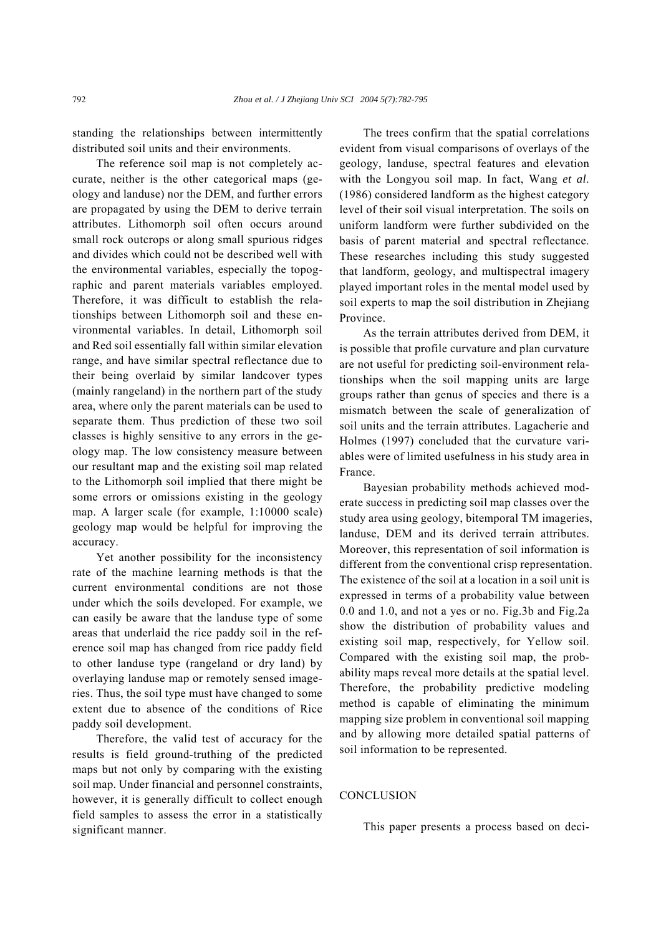standing the relationships between intermittently distributed soil units and their environments.

The reference soil map is not completely accurate, neither is the other categorical maps (geology and landuse) nor the DEM, and further errors are propagated by using the DEM to derive terrain attributes. Lithomorph soil often occurs around small rock outcrops or along small spurious ridges and divides which could not be described well with the environmental variables, especially the topographic and parent materials variables employed. Therefore, it was difficult to establish the relationships between Lithomorph soil and these environmental variables. In detail, Lithomorph soil and Red soil essentially fall within similar elevation range, and have similar spectral reflectance due to their being overlaid by similar landcover types (mainly rangeland) in the northern part of the study area, where only the parent materials can be used to separate them. Thus prediction of these two soil classes is highly sensitive to any errors in the geology map. The low consistency measure between our resultant map and the existing soil map related to the Lithomorph soil implied that there might be some errors or omissions existing in the geology map. A larger scale (for example, 1:10000 scale) geology map would be helpful for improving the accuracy.

Yet another possibility for the inconsistency rate of the machine learning methods is that the current environmental conditions are not those under which the soils developed. For example, we can easily be aware that the landuse type of some areas that underlaid the rice paddy soil in the reference soil map has changed from rice paddy field to other landuse type (rangeland or dry land) by overlaying landuse map or remotely sensed imageries. Thus, the soil type must have changed to some extent due to absence of the conditions of Rice paddy soil development.

Therefore, the valid test of accuracy for the results is field ground-truthing of the predicted maps but not only by comparing with the existing soil map. Under financial and personnel constraints, however, it is generally difficult to collect enough field samples to assess the error in a statistically significant manner.

The trees confirm that the spatial correlations evident from visual comparisons of overlays of the geology, landuse, spectral features and elevation with the Longyou soil map. In fact, Wang *et al*. (1986) considered landform as the highest category level of their soil visual interpretation. The soils on uniform landform were further subdivided on the basis of parent material and spectral reflectance. These researches including this study suggested that landform, geology, and multispectral imagery played important roles in the mental model used by soil experts to map the soil distribution in Zhejiang Province.

As the terrain attributes derived from DEM, it is possible that profile curvature and plan curvature are not useful for predicting soil-environment relationships when the soil mapping units are large groups rather than genus of species and there is a mismatch between the scale of generalization of soil units and the terrain attributes. Lagacherie and Holmes (1997) concluded that the curvature variables were of limited usefulness in his study area in France.

Bayesian probability methods achieved moderate success in predicting soil map classes over the study area using geology, bitemporal TM imageries, landuse, DEM and its derived terrain attributes. Moreover, this representation of soil information is different from the conventional crisp representation. The existence of the soil at a location in a soil unit is expressed in terms of a probability value between 0.0 and 1.0, and not a yes or no. Fig.3b and Fig.2a show the distribution of probability values and existing soil map, respectively, for Yellow soil. Compared with the existing soil map, the probability maps reveal more details at the spatial level. Therefore, the probability predictive modeling method is capable of eliminating the minimum mapping size problem in conventional soil mapping and by allowing more detailed spatial patterns of soil information to be represented.

# **CONCLUSION**

This paper presents a process based on deci-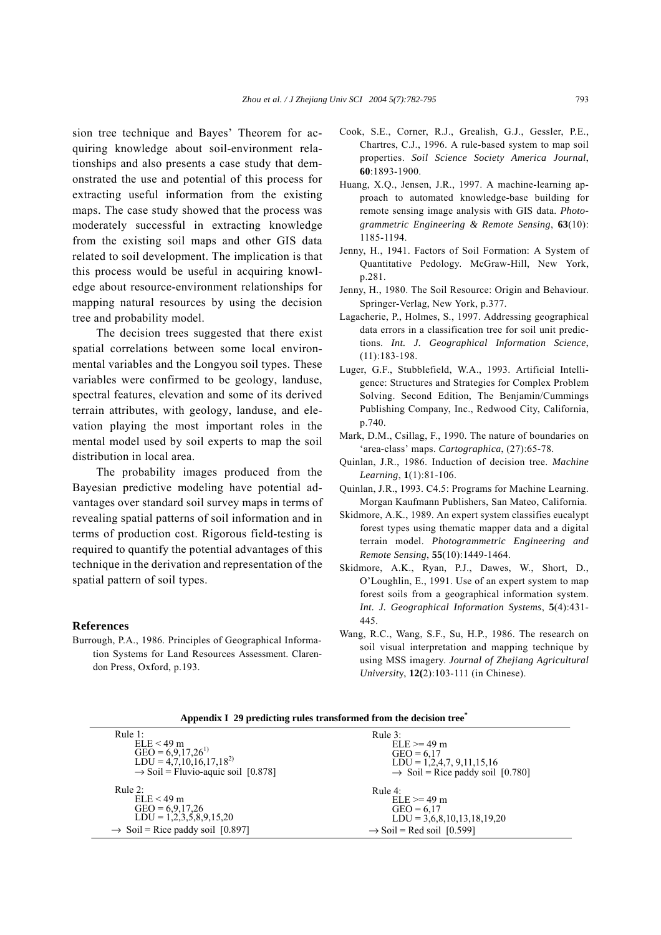sion tree technique and Bayes' Theorem for acquiring knowledge about soil-environment relationships and also presents a case study that demonstrated the use and potential of this process for extracting useful information from the existing maps. The case study showed that the process was moderately successful in extracting knowledge from the existing soil maps and other GIS data related to soil development. The implication is that this process would be useful in acquiring knowledge about resource-environment relationships for mapping natural resources by using the decision tree and probability model.

The decision trees suggested that there exist spatial correlations between some local environmental variables and the Longyou soil types. These variables were confirmed to be geology, landuse, spectral features, elevation and some of its derived terrain attributes, with geology, landuse, and elevation playing the most important roles in the mental model used by soil experts to map the soil distribution in local area.

The probability images produced from the Bayesian predictive modeling have potential advantages over standard soil survey maps in terms of revealing spatial patterns of soil information and in terms of production cost. Rigorous field-testing is required to quantify the potential advantages of this technique in the derivation and representation of the spatial pattern of soil types.

## **References**

Burrough, P.A., 1986. Principles of Geographical Information Systems for Land Resources Assessment. Clarendon Press, Oxford, p.193.

- Cook, S.E., Corner, R.J., Grealish, G.J., Gessler, P.E., Chartres, C.J., 1996. A rule-based system to map soil properties. *Soil Science Society America Journal*, **60**:1893-1900.
- Huang, X.Q., Jensen, J.R., 1997. A machine-learning approach to automated knowledge-base building for remote sensing image analysis with GIS data. *Photogrammetric Engineering & Remote Sensing*, **63**(10): 1185-1194.
- Jenny, H., 1941. Factors of Soil Formation: A System of Quantitative Pedology. McGraw-Hill, New York, p.281.
- Jenny, H., 1980. The Soil Resource: Origin and Behaviour. Springer-Verlag, New York, p.377.
- Lagacherie, P., Holmes, S., 1997. Addressing geographical data errors in a classification tree for soil unit predictions. *Int. J. Geographical Information Science*, (11):183-198.
- Luger, G.F., Stubblefield, W.A., 1993. Artificial Intelligence: Structures and Strategies for Complex Problem Solving. Second Edition, The Benjamin/Cummings Publishing Company, Inc., Redwood City, California, p.740.
- Mark, D.M., Csillag, F., 1990. The nature of boundaries on ëarea-classí maps. *Cartographica*, (27):65-78.
- Quinlan, J.R., 1986. Induction of decision tree. *Machine Learning*, **1**(1):81-106.
- Quinlan, J.R., 1993. C4.5: Programs for Machine Learning. Morgan Kaufmann Publishers, San Mateo, California.
- Skidmore, A.K., 1989. An expert system classifies eucalypt forest types using thematic mapper data and a digital terrain model. *Photogrammetric Engineering and Remote Sensing*, **55**(10):1449-1464.
- Skidmore, A.K., Ryan, P.J., Dawes, W., Short, D., OíLoughlin, E., 1991. Use of an expert system to map forest soils from a geographical information system. *Int. J. Geographical Information Systems*, **5**(4):431- 445.
- Wang, R.C., Wang, S.F., Su, H.P., 1986. The research on soil visual interpretation and mapping technique by using MSS imagery. *Journal of Zhejiang Agricultural Universit*y, **12(**2):103-111 (in Chinese).

**Appendix I 29 predicting rules transformed from the decision tree\***

| Rule $1$ :                                     | Rule $3$ :                                   |
|------------------------------------------------|----------------------------------------------|
| $ELE < 49$ m                                   | $ELE = 49$ m                                 |
| GEO = $6,9,17,26^{1}$                          | $GEO = 6.17$                                 |
| $LDU = 4,7,10,16,17,18^{2}$                    | $LDU = 1,2,4,7,9,11,15,16$                   |
| $\rightarrow$ Soil = Fluvio-aquic soil [0.878] | $\rightarrow$ Soil = Rice paddy soil [0.780] |
| Rule $2:$                                      | Rule $4$ :                                   |
| $ELE < 49$ m                                   | $ELE \ge 49$ m                               |
| $GEO = 6.9,17,26$                              | $GEO = 6.17$                                 |
| $LDU = 1,2,3,5,8,9,15,20$                      | $LDU = 3,6,8,10,13,18,19,20$                 |
| $\rightarrow$ Soil = Rice paddy soil [0.897]   | $\rightarrow$ Soil = Red soil [0.599]        |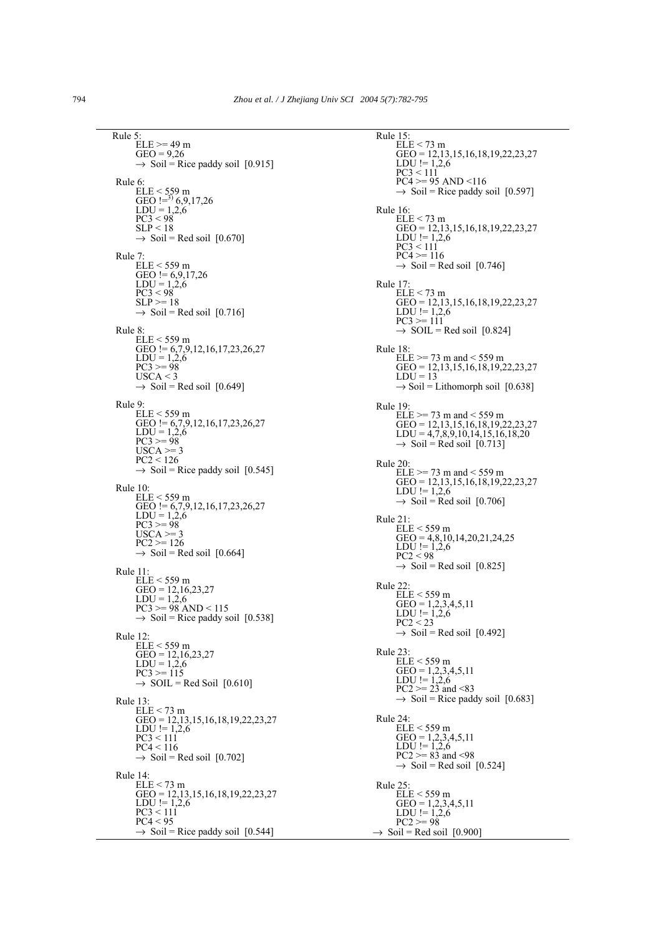Rule 5:  $ELE \geq 49$  m  $GEO = 9.26$  $\rightarrow$  Soil = Rice paddy soil [0.915] Rule 6: ELE < 559 m<br>GEO !=<sup>3)</sup> 6,9,17,26  $LDU = 1,2,6$  $PC3 < 98$  $SLP < 18$  $\rightarrow$  Soil = Red soil [0.670] Rule 7:  $ELE < 559$  m GEO !=  $6,9,17,26$  $LDU = 1,2,6$  $PC3 < 98$  $SLP = 18$  $\rightarrow$  Soil = Red soil [0.716] Rule 8: ELE < 559 m GEO != 6,7,9,12,16,17,23,26,27  $LDU = 1,2,6$  $PC3 = 98$  $USCA < 3$  $\rightarrow$  Soil = Red soil [0.649] Rule 9: ELE < 559 m GEO != 6,7,9,12,16,17,23,26,27  $LDU = 1,2,6$  $\overline{PC3}$  >= 98  $USCA \geq 3$ PC2 < 126  $\rightarrow$  Soil = Rice paddy soil [0.545] Rule 10:  $ELE < 559$  m GEO != 6,7,9,12,16,17,23,26,27  $LDU = 1,2,6$  $PC3 > = 98$  $USCA \geq 3$  $PC2 \geq 126$  $\rightarrow$  Soil = Red soil [0.664] Rule 11:  $ELE < 559$  m GEO =  $12,16,23,27$  $LDU = 1,2,6$  $PC3 > = 98$  AND < 115  $\rightarrow$  Soil = Rice paddy soil [0.538] Rule 12:  $ELE < 559$  m  $GEO = 12,16,23,27$  $LDU = 1,2,6$  $PC3 = 115$  $\rightarrow$  SOIL = Red Soil [0.610] Rule 13:  $ELE < 73$  m GEO = 12,13,15,16,18,19,22,23,27 LDU  $!= 1,2,6$  $PC3 < 111$  $PC4 < 116$  $\rightarrow$  Soil = Red soil [0.702] Rule 14:  $ELE < 73$  m GEO = 12,13,15,16,18,19,22,23,27 LDU !=  $1,2,6$  $PC3 < 111$  $PC4 < 95$  $\rightarrow$  Soil = Rice paddy soil [0.544]

Rule 15:  $ELE < 73$  m GEO = 12,13,15,16,18,19,22,23,27 LDU !=  $1,2,6$  $PC3 < 111$  $PC4 > = 95$  AND <116  $\rightarrow$  Soil = Rice paddy soil [0.597] Rule 16:  $ELE < 73$  m GEO = 12,13,15,16,18,19,22,23,27  $LDU := 1,2,6$  $PC3 < 111$  $PC4 \ge 116$  $\rightarrow$  Soil = Red soil [0.746] Rule 17:  $ELE < 73$  m GEO = 12,13,15,16,18,19,22,23,27 LDU !=  $1,2,6$  $PC3 = 111$  $\rightarrow$  SOIL = Red soil [0.824] Rule 18:  $ELE \geq 73$  m and < 559 m GEO = 12,13,15,16,18,19,22,23,27  $LDU = 13$  $\rightarrow$  Soil = Lithomorph soil [0.638] Rule 19:  $ELE \ge 73$  m and  $< 559$  m GEO = 12,13,15,16,18,19,22,23,27  $LDU = 4,7,8,9,10,14,15,16,18,20$  $\rightarrow$  Soil = Red soil [0.713] Rule 20:  $ELE$  >= 73 m and < 559 m GEO = 12,13,15,16,18,19,22,23,27 LDU !=  $1,2,6$  $\rightarrow$  Soil = Red soil [0.706] Rule 21: ELE < 559 m  $GEO = 4,8,10,14,20,21,24,25$ LDU !=  $1,2,6$  $\overline{PC2}$  < 98  $\rightarrow$  Soil = Red soil [0.825] Rule 22: ELE < 559 m  $GEO = 1,2,3,4,5,11$ LDU !=  $1,2,6$  $PC2 < 23$  $\rightarrow$  Soil = Red soil [0.492] Rule 23: ELE < 559 m  $GEO = 1,2,3,4,5,11$ LDU !=  $1,\!2,\!6$  $PC2 \ge 23$  and  $\le 83$  $\rightarrow$  Soil = Rice paddy soil [0.683] Rule 24: ELE < 559 m  $GEO = 1,2,3,4,5,11$ LDU !=  $1,\!2,\!6$  $PC2 \ge 83$  and  $\le 98$  $\rightarrow$  Soil = Red soil [0.524] Rule 25: ELE < 559 m  $GEO = 1,2,3,4,5,11$ LDU !=  $1,\!2,\!6$  $PC2 = 98$  $\rightarrow$  Soil = Red soil [0.900]